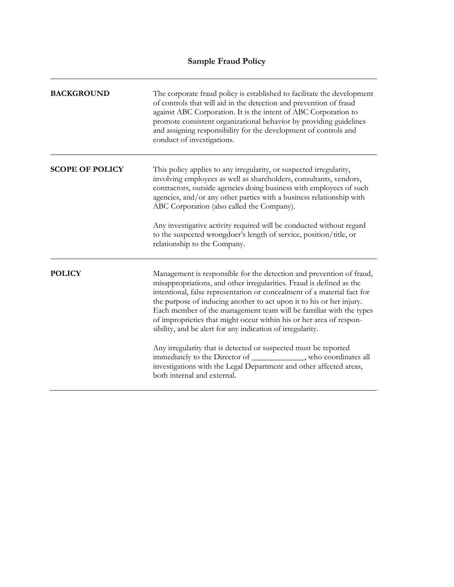| <b>BACKGROUND</b>      | The corporate fraud policy is established to facilitate the development<br>of controls that will aid in the detection and prevention of fraud<br>against ABC Corporation. It is the intent of ABC Corporation to<br>promote consistent organizational behavior by providing guidelines<br>and assigning responsibility for the development of controls and<br>conduct of investigations.                                                                                                                                                                                                                                                                                                                                                                |
|------------------------|---------------------------------------------------------------------------------------------------------------------------------------------------------------------------------------------------------------------------------------------------------------------------------------------------------------------------------------------------------------------------------------------------------------------------------------------------------------------------------------------------------------------------------------------------------------------------------------------------------------------------------------------------------------------------------------------------------------------------------------------------------|
| <b>SCOPE OF POLICY</b> | This policy applies to any irregularity, or suspected irregularity,<br>involving employees as well as shareholders, consultants, vendors,<br>contractors, outside agencies doing business with employees of such<br>agencies, and/or any other parties with a business relationship with<br>ABC Corporation (also called the Company).<br>Any investigative activity required will be conducted without regard<br>to the suspected wrongdoer's length of service, position/title, or<br>relationship to the Company.                                                                                                                                                                                                                                    |
| <b>POLICY</b>          | Management is responsible for the detection and prevention of fraud,<br>misappropriations, and other irregularities. Fraud is defined as the<br>intentional, false representation or concealment of a material fact for<br>the purpose of inducing another to act upon it to his or her injury.<br>Each member of the management team will be familiar with the types<br>of improprieties that might occur within his or her area of respon-<br>sibility, and be alert for any indication of irregularity.<br>Any irregularity that is detected or suspected must be reported<br>immediately to the Director of _____________, who coordinates all<br>investigations with the Legal Department and other affected areas,<br>both internal and external. |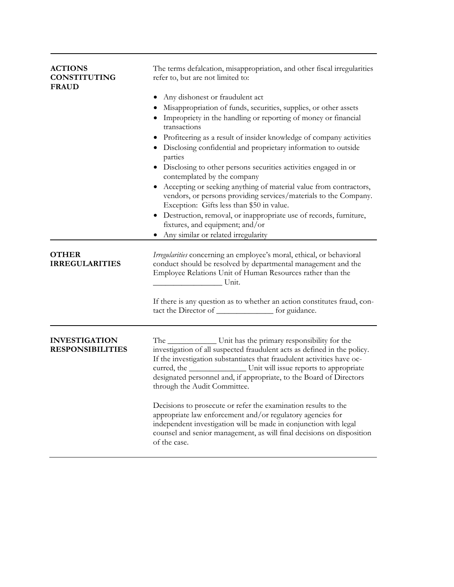| <b>ACTIONS</b><br><b>CONSTITUTING</b><br><b>FRAUD</b> | The terms defalcation, misappropriation, and other fiscal irregularities<br>refer to, but are not limited to:                                                                                                                                                                                                                                                                                                                                                                                                                                                                                                                           |
|-------------------------------------------------------|-----------------------------------------------------------------------------------------------------------------------------------------------------------------------------------------------------------------------------------------------------------------------------------------------------------------------------------------------------------------------------------------------------------------------------------------------------------------------------------------------------------------------------------------------------------------------------------------------------------------------------------------|
|                                                       | Any dishonest or fraudulent act<br>Misappropriation of funds, securities, supplies, or other assets<br>Impropriety in the handling or reporting of money or financial<br>transactions<br>• Profiteering as a result of insider knowledge of company activities<br>• Disclosing confidential and proprietary information to outside<br>parties<br>• Disclosing to other persons securities activities engaged in or<br>contemplated by the company<br>Accepting or seeking anything of material value from contractors,<br>vendors, or persons providing services/materials to the Company.<br>Exception: Gifts less than \$50 in value. |
|                                                       | • Destruction, removal, or inappropriate use of records, furniture,<br>fixtures, and equipment; and/or<br>Any similar or related irregularity                                                                                                                                                                                                                                                                                                                                                                                                                                                                                           |
| <b>OTHER</b><br><b>IRREGULARITIES</b>                 | Irregularities concerning an employee's moral, ethical, or behavioral<br>conduct should be resolved by departmental management and the<br>Employee Relations Unit of Human Resources rather than the<br><b>Example 1</b> Unit.                                                                                                                                                                                                                                                                                                                                                                                                          |
|                                                       | If there is any question as to whether an action constitutes fraud, con-<br>tact the Director of _______________ for guidance.                                                                                                                                                                                                                                                                                                                                                                                                                                                                                                          |
| <b>INVESTIGATION</b><br><b>RESPONSIBILITIES</b>       | The ________________ Unit has the primary responsibility for the<br>investigation of all suspected fraudulent acts as defined in the policy.<br>If the investigation substantiates that fraudulent activities have oc-<br>curred, the _______________________ Unit will issue reports to appropriate<br>designated personnel and, if appropriate, to the Board of Directors<br>through the Audit Committee.                                                                                                                                                                                                                             |
|                                                       | Decisions to prosecute or refer the examination results to the<br>appropriate law enforcement and/or regulatory agencies for<br>independent investigation will be made in conjunction with legal<br>counsel and senior management, as will final decisions on disposition<br>of the case.                                                                                                                                                                                                                                                                                                                                               |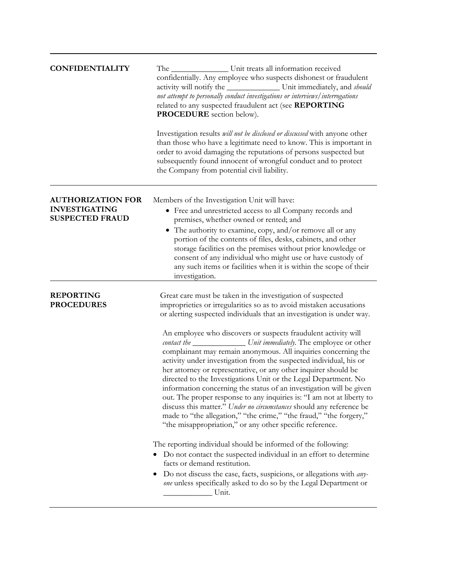| <b>CONFIDENTIALITY</b>                                                     | The _____________________ Unit treats all information received<br>confidentially. Any employee who suspects dishonest or fraudulent<br>activity will notify the _____________________ Unit immediately, and should<br>not attempt to personally conduct investigations or interviews/interrogations<br>related to any suspected fraudulent act (see REPORTING<br><b>PROCEDURE</b> section below).<br>Investigation results <i>will not be disclosed or discussed</i> with anyone other<br>than those who have a legitimate need to know. This is important in<br>order to avoid damaging the reputations of persons suspected but<br>subsequently found innocent of wrongful conduct and to protect<br>the Company from potential civil liability.                                                                                                                                                                                                                                                                                                                                                                                                                                                                                                                                                                                                    |
|----------------------------------------------------------------------------|-------------------------------------------------------------------------------------------------------------------------------------------------------------------------------------------------------------------------------------------------------------------------------------------------------------------------------------------------------------------------------------------------------------------------------------------------------------------------------------------------------------------------------------------------------------------------------------------------------------------------------------------------------------------------------------------------------------------------------------------------------------------------------------------------------------------------------------------------------------------------------------------------------------------------------------------------------------------------------------------------------------------------------------------------------------------------------------------------------------------------------------------------------------------------------------------------------------------------------------------------------------------------------------------------------------------------------------------------------|
| <b>AUTHORIZATION FOR</b><br><b>INVESTIGATING</b><br><b>SUSPECTED FRAUD</b> | Members of the Investigation Unit will have:<br>• Free and unrestricted access to all Company records and<br>premises, whether owned or rented; and<br>• The authority to examine, copy, and/or remove all or any<br>portion of the contents of files, desks, cabinets, and other<br>storage facilities on the premises without prior knowledge or<br>consent of any individual who might use or have custody of<br>any such items or facilities when it is within the scope of their<br>investigation.                                                                                                                                                                                                                                                                                                                                                                                                                                                                                                                                                                                                                                                                                                                                                                                                                                               |
| <b>REPORTING</b><br><b>PROCEDURES</b>                                      | Great care must be taken in the investigation of suspected<br>improprieties or irregularities so as to avoid mistaken accusations<br>or alerting suspected individuals that an investigation is under way.<br>An employee who discovers or suspects fraudulent activity will<br>contact the _________________ Unit immediately. The employee or other<br>complainant may remain anonymous. All inquiries concerning the<br>activity under investigation from the suspected individual, his or<br>her attorney or representative, or any other inquirer should be<br>directed to the Investigations Unit or the Legal Department. No<br>information concerning the status of an investigation will be given<br>out. The proper response to any inquiries is: "I am not at liberty to<br>discuss this matter." Under no circumstances should any reference be<br>made to "the allegation," "the crime," "the fraud," "the forgery,"<br>"the misappropriation," or any other specific reference.<br>The reporting individual should be informed of the following:<br>• Do not contact the suspected individual in an effort to determine<br>facts or demand restitution.<br>Do not discuss the case, facts, suspicions, or allegations with <i>any</i> -<br>one unless specifically asked to do so by the Legal Department or<br>Unit.<br>$\overline{a}$ |